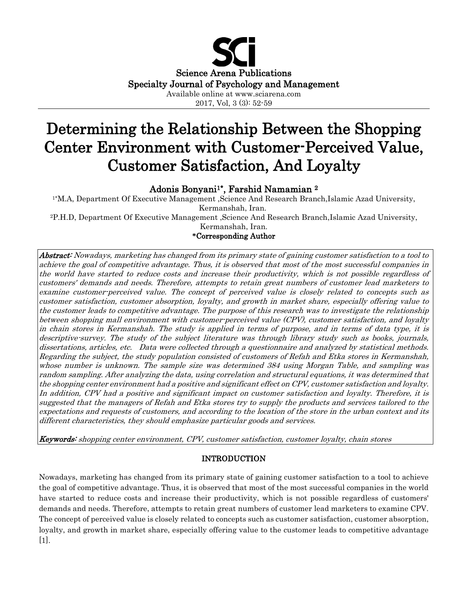

2017, Vol, 3 (3): 52-59

# Determining the Relationship Between the Shopping Center Environment with Customer-Perceived Value, Customer Satisfaction, And Loyalty

# Adonis Bonyani<sup>1\*</sup>, Farshid Namamian<sup>2</sup>

1\*M.A, Department Of Executive Management ,Science And Research Branch,Islamic Azad University, Kermanshah, Iran.

2P.H.D, Department Of Executive Management ,Science And Research Branch,Islamic Azad University, Kermanshah, Iran.

**\***Corresponding Author

Abstract: Nowadays, marketing has changed from its primary state of gaining customer satisfaction to a tool to achieve the goal of competitive advantage. Thus, it is observed that most of the most successful companies in the world have started to reduce costs and increase their productivity, which is not possible regardless of customers' demands and needs. Therefore, attempts to retain great numbers of customer lead marketers to examine customer-perceived value. The concept of perceived value is closely related to concepts such as customer satisfaction, customer absorption, loyalty, and growth in market share, especially offering value to the customer leads to competitive advantage. The purpose of this research was to investigate the relationship between shopping mall environment with customer-perceived value (CPV), customer satisfaction, and loyalty in chain stores in Kermanshah. The study is applied in terms of purpose, and in terms of data type, it is descriptive-survey. The study of the subject literature was through library study such as books, journals, dissertations, articles, etc. Data were collected through a questionnaire and analyzed by statistical methods. Regarding the subject, the study population consisted of customers of Refah and Etka stores in Kermanshah, whose number is unknown. The sample size was determined 384 using Morgan Table, and sampling was random sampling. After analyzing the data, using correlation and structural equations, it was determined that the shopping center environment had a positive and significant effect on CPV, customer satisfaction and loyalty. In addition, CPV had a positive and significant impact on customer satisfaction and loyalty. Therefore, it is suggested that the managers of Refah and Etka stores try to supply the products and services tailored to the expectations and requests of customers, and according to the location of the store in the urban context and its different characteristics, they should emphasize particular goods and services.

Keywords: shopping center environment, CPV, customer satisfaction, customer loyalty, chain stores

# INTRODUCTION

Nowadays, marketing has changed from its primary state of gaining customer satisfaction to a tool to achieve the goal of competitive advantage. Thus, it is observed that most of the most successful companies in the world have started to reduce costs and increase their productivity, which is not possible regardless of customers' demands and needs. Therefore, attempts to retain great numbers of customer lead marketers to examine CPV. The concept of perceived value is closely related to concepts such as customer satisfaction, customer absorption, loyalty, and growth in market share, especially offering value to the customer leads to competitive advantage [1].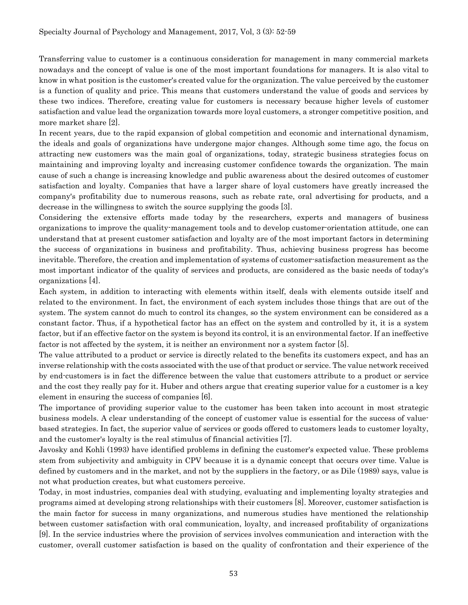Transferring value to customer is a continuous consideration for management in many commercial markets nowadays and the concept of value is one of the most important foundations for managers. It is also vital to know in what position is the customer's created value for the organization. The value perceived by the customer is a function of quality and price. This means that customers understand the value of goods and services by these two indices. Therefore, creating value for customers is necessary because higher levels of customer satisfaction and value lead the organization towards more loyal customers, a stronger competitive position, and more market share [2].

In recent years, due to the rapid expansion of global competition and economic and international dynamism, the ideals and goals of organizations have undergone major changes. Although some time ago, the focus on attracting new customers was the main goal of organizations, today, strategic business strategies focus on maintaining and improving loyalty and increasing customer confidence towards the organization. The main cause of such a change is increasing knowledge and public awareness about the desired outcomes of customer satisfaction and loyalty. Companies that have a larger share of loyal customers have greatly increased the company's profitability due to numerous reasons, such as rebate rate, oral advertising for products, and a decrease in the willingness to switch the source supplying the goods [3].

Considering the extensive efforts made today by the researchers, experts and managers of business organizations to improve the quality-management tools and to develop customer-orientation attitude, one can understand that at present customer satisfaction and loyalty are of the most important factors in determining the success of organizations in business and profitability. Thus, achieving business progress has become inevitable. Therefore, the creation and implementation of systems of customer-satisfaction measurement as the most important indicator of the quality of services and products, are considered as the basic needs of today's organizations [4].

Each system, in addition to interacting with elements within itself, deals with elements outside itself and related to the environment. In fact, the environment of each system includes those things that are out of the system. The system cannot do much to control its changes, so the system environment can be considered as a constant factor. Thus, if a hypothetical factor has an effect on the system and controlled by it, it is a system factor, but if an effective factor on the system is beyond its control, it is an environmental factor. If an ineffective factor is not affected by the system, it is neither an environment nor a system factor [5].

The value attributed to a product or service is directly related to the benefits its customers expect, and has an inverse relationship with the costs associated with the use of that product or service. The value network received by end-customers is in fact the difference between the value that customers attribute to a product or service and the cost they really pay for it. Huber and others argue that creating superior value for a customer is a key element in ensuring the success of companies [6].

The importance of providing superior value to the customer has been taken into account in most strategic business models. A clear understanding of the concept of customer value is essential for the success of valuebased strategies. In fact, the superior value of services or goods offered to customers leads to customer loyalty, and the customer's loyalty is the real stimulus of financial activities [7].

Javosky and Kohli (1993) have identified problems in defining the customer's expected value. These problems stem from subjectivity and ambiguity in CPV because it is a dynamic concept that occurs over time. Value is defined by customers and in the market, and not by the suppliers in the factory, or as Dile (1989) says, value is not what production creates, but what customers perceive.

Today, in most industries, companies deal with studying, evaluating and implementing loyalty strategies and programs aimed at developing strong relationships with their customers [8]. Moreover, customer satisfaction is the main factor for success in many organizations, and numerous studies have mentioned the relationship between customer satisfaction with oral communication, loyalty, and increased profitability of organizations [9]. In the service industries where the provision of services involves communication and interaction with the customer, overall customer satisfaction is based on the quality of confrontation and their experience of the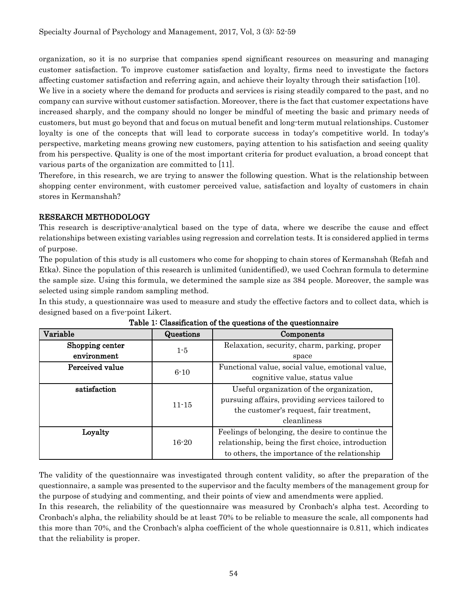organization, so it is no surprise that companies spend significant resources on measuring and managing customer satisfaction. To improve customer satisfaction and loyalty, firms need to investigate the factors affecting customer satisfaction and referring again, and achieve their loyalty through their satisfaction [10]. We live in a society where the demand for products and services is rising steadily compared to the past, and no company can survive without customer satisfaction. Moreover, there is the fact that customer expectations have increased sharply, and the company should no longer be mindful of meeting the basic and primary needs of customers, but must go beyond that and focus on mutual benefit and long-term mutual relationships. Customer loyalty is one of the concepts that will lead to corporate success in today's competitive world. In today's perspective, marketing means growing new customers, paying attention to his satisfaction and seeing quality from his perspective. Quality is one of the most important criteria for product evaluation, a broad concept that various parts of the organization are committed to [11].

Therefore, in this research, we are trying to answer the following question. What is the relationship between shopping center environment, with customer perceived value, satisfaction and loyalty of customers in chain stores in Kermanshah?

# RESEARCH METHODOLOGY

This research is descriptive-analytical based on the type of data, where we describe the cause and effect relationships between existing variables using regression and correlation tests. It is considered applied in terms of purpose.

The population of this study is all customers who come for shopping to chain stores of Kermanshah (Refah and Etka). Since the population of this research is unlimited (unidentified), we used Cochran formula to determine the sample size. Using this formula, we determined the sample size as 384 people. Moreover, the sample was selected using simple random sampling method.

In this study, a questionnaire was used to measure and study the effective factors and to collect data, which is designed based on a five-point Likert.

| Variable        | Questions | Components                                                                                   |  |  |  |
|-----------------|-----------|----------------------------------------------------------------------------------------------|--|--|--|
| Shopping center | $1-5$     | Relaxation, security, charm, parking, proper                                                 |  |  |  |
| environment     |           | space                                                                                        |  |  |  |
| Perceived value | $6 - 10$  | Functional value, social value, emotional value,                                             |  |  |  |
|                 |           | cognitive value, status value                                                                |  |  |  |
| satisfaction    |           | Useful organization of the organization,<br>pursuing affairs, providing services tailored to |  |  |  |
|                 | $11 - 15$ |                                                                                              |  |  |  |
|                 |           | the customer's request, fair treatment,                                                      |  |  |  |
|                 |           | cleanliness                                                                                  |  |  |  |
| Loyalty         |           | Feelings of belonging, the desire to continue the                                            |  |  |  |
|                 | $16 - 20$ | relationship, being the first choice, introduction                                           |  |  |  |
|                 |           | to others, the importance of the relationship                                                |  |  |  |

Table 1: Classification of the questions of the questionnaire

The validity of the questionnaire was investigated through content validity, so after the preparation of the questionnaire, a sample was presented to the supervisor and the faculty members of the management group for the purpose of studying and commenting, and their points of view and amendments were applied.

In this research, the reliability of the questionnaire was measured by Cronbach's alpha test. According to Cronbach's alpha, the reliability should be at least 70% to be reliable to measure the scale, all components had this more than 70%, and the Cronbach's alpha coefficient of the whole questionnaire is 0.811, which indicates that the reliability is proper.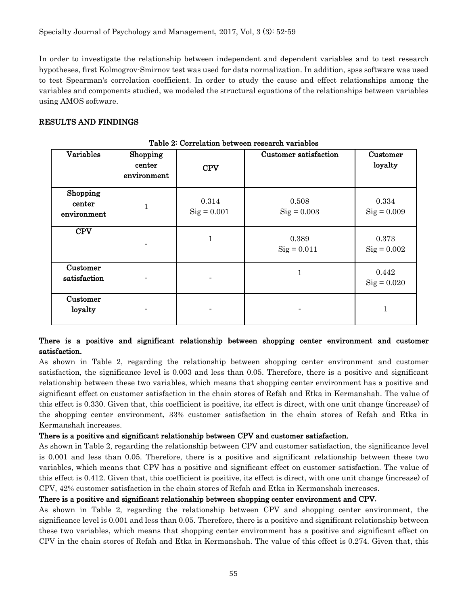In order to investigate the relationship between independent and dependent variables and to test research hypotheses, first Kolmogrov-Smirnov test was used for data normalization. In addition, spss software was used to test Spearman's correlation coefficient. In order to study the cause and effect relationships among the variables and components studied, we modeled the structural equations of the relationships between variables using AMOS software.

### RESULTS AND FINDINGS

| Table 2. Correlation between research variables |                                   |                        |                               |                               |  |  |  |  |
|-------------------------------------------------|-----------------------------------|------------------------|-------------------------------|-------------------------------|--|--|--|--|
| Variables                                       | Shopping<br>center<br>environment | <b>CPV</b>             | Customer satisfaction         | Customer<br>loyalty           |  |  |  |  |
| Shopping<br>center<br>environment               | $\mathbf{1}$                      | 0.314<br>$Sig = 0.001$ | 0.508<br>$\text{Sig} = 0.003$ | 0.334<br>$Sig = 0.009$        |  |  |  |  |
| <b>CPV</b>                                      |                                   | 1                      | 0.389<br>$Sig = 0.011$        | 0.373<br>$Sig = 0.002$        |  |  |  |  |
| Customer<br>satisfaction                        |                                   |                        |                               | 0.442<br>$\text{Sig} = 0.020$ |  |  |  |  |
| Customer<br>loyalty                             |                                   |                        |                               |                               |  |  |  |  |

Table 2: Correlation between research variables

# There is a positive and significant relationship between shopping center environment and customer satisfaction.

As shown in Table 2, regarding the relationship between shopping center environment and customer satisfaction, the significance level is 0.003 and less than 0.05. Therefore, there is a positive and significant relationship between these two variables, which means that shopping center environment has a positive and significant effect on customer satisfaction in the chain stores of Refah and Etka in Kermanshah. The value of this effect is 0.330. Given that, this coefficient is positive, its effect is direct, with one unit change (increase) of the shopping center environment, 33% customer satisfaction in the chain stores of Refah and Etka in Kermanshah increases.

#### There is a positive and significant relationship between CPV and customer satisfaction.

As shown in Table 2, regarding the relationship between CPV and customer satisfaction, the significance level is 0.001 and less than 0.05. Therefore, there is a positive and significant relationship between these two variables, which means that CPV has a positive and significant effect on customer satisfaction. The value of this effect is 0.412. Given that, this coefficient is positive, its effect is direct, with one unit change (increase) of CPV, 42% customer satisfaction in the chain stores of Refah and Etka in Kermanshah increases.

#### There is a positive and significant relationship between shopping center environment and CPV**.**

As shown in Table 2, regarding the relationship between CPV and shopping center environment, the significance level is 0.001 and less than 0.05. Therefore, there is a positive and significant relationship between these two variables, which means that shopping center environment has a positive and significant effect on CPV in the chain stores of Refah and Etka in Kermanshah. The value of this effect is 0.274. Given that, this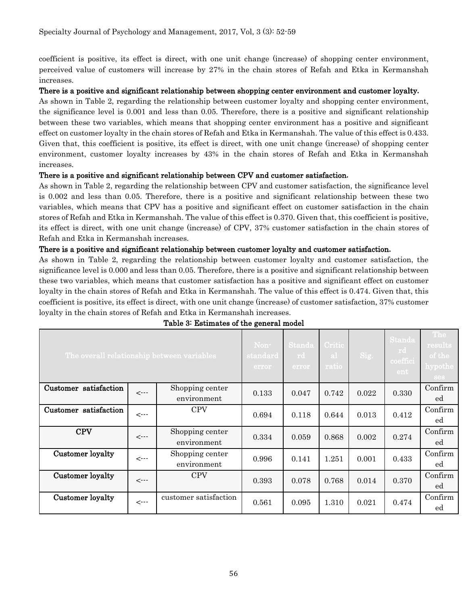coefficient is positive, its effect is direct, with one unit change (increase) of shopping center environment, perceived value of customers will increase by 27% in the chain stores of Refah and Etka in Kermanshah increases.

#### There is a positive and significant relationship between shopping center environment and customer loyalty**.**

As shown in Table 2, regarding the relationship between customer loyalty and shopping center environment, the significance level is 0.001 and less than 0.05. Therefore, there is a positive and significant relationship between these two variables, which means that shopping center environment has a positive and significant effect on customer loyalty in the chain stores of Refah and Etka in Kermanshah. The value of this effect is 0.433. Given that, this coefficient is positive, its effect is direct, with one unit change (increase) of shopping center environment, customer loyalty increases by 43% in the chain stores of Refah and Etka in Kermanshah increases.

#### There is a positive and significant relationship between CPV and customer satisfaction**.**

As shown in Table 2, regarding the relationship between CPV and customer satisfaction, the significance level is 0.002 and less than 0.05. Therefore, there is a positive and significant relationship between these two variables, which means that CPV has a positive and significant effect on customer satisfaction in the chain stores of Refah and Etka in Kermanshah. The value of this effect is 0.370. Given that, this coefficient is positive, its effect is direct, with one unit change (increase) of CPV, 37% customer satisfaction in the chain stores of Refah and Etka in Kermanshah increases.

#### There is a positive and significant relationship between customer loyalty and customer satisfaction**.**

As shown in Table 2, regarding the relationship between customer loyalty and customer satisfaction, the significance level is 0.000 and less than 0.05. Therefore, there is a positive and significant relationship between these two variables, which means that customer satisfaction has a positive and significant effect on customer loyalty in the chain stores of Refah and Etka in Kermanshah. The value of this effect is 0.474. Given that, this coefficient is positive, its effect is direct, with one unit change (increase) of customer satisfaction, 37% customer loyalty in the chain stores of Refah and Etka in Kermanshah increases.

| The overall relationship between variables |              |                                | Non-<br>$\boldsymbol{\mathsf{s}}$ tandard<br>error | Standa<br>rd<br>error | Critic<br>-al-<br>ratio | Sig.  | <b>Standa</b><br>rd<br>coeffici<br>ent. | The<br>results<br>of the<br>${\rm hypothe}$<br>ses |
|--------------------------------------------|--------------|--------------------------------|----------------------------------------------------|-----------------------|-------------------------|-------|-----------------------------------------|----------------------------------------------------|
| Customer satisfaction                      | $\leftarrow$ | Shopping center<br>environment | 0.133                                              | 0.047                 | 0.742                   | 0.022 | 0.330                                   | Confirm<br>ed                                      |
| Customer satisfaction                      | $\leftarrow$ | <b>CPV</b>                     | 0.694                                              | 0.118                 | 0.644                   | 0.013 | 0.412                                   | Confirm<br>ed                                      |
| <b>CPV</b>                                 | $\leftarrow$ | Shopping center<br>environment | 0.334                                              | 0.059                 | 0.868                   | 0.002 | 0.274                                   | Confirm<br>ed                                      |
| Customer loyalty                           | $\leftarrow$ | Shopping center<br>environment | 0.996                                              | 0.141                 | 1.251                   | 0.001 | 0.433                                   | Confirm<br>ed                                      |
| Customer loyalty                           | $\leftarrow$ | <b>CPV</b>                     | 0.393                                              | 0.078                 | 0.768                   | 0.014 | 0.370                                   | Confirm<br>ed                                      |
| Customer loyalty                           | $\leftarrow$ | customer satisfaction          | 0.561                                              | 0.095                 | 1.310                   | 0.021 | 0.474                                   | Confirm<br>ed                                      |

# Table 3: Estimates of the general model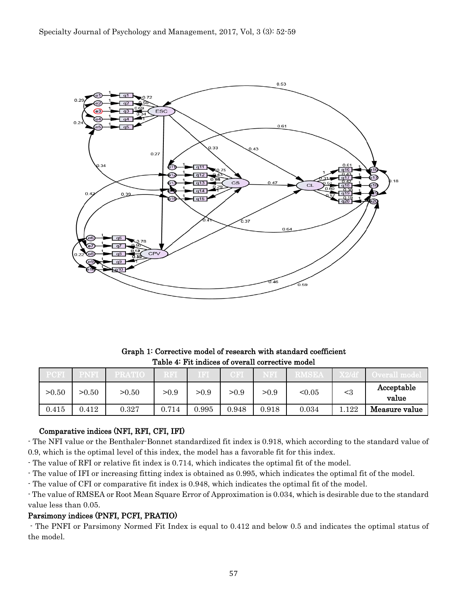

Graph 1: Corrective model of research with standard coefficient Table 4: Fit indices of overall corrective model

|       |       |       |       | $\llbracket \mathbf{F} \rrbracket$ |       |       |        |       |                     |
|-------|-------|-------|-------|------------------------------------|-------|-------|--------|-------|---------------------|
| >0.50 | >0.50 | >0.50 | >0.9  | >0.9                               | >0.9  | >0.9  | < 0.05 | $<$ 3 | Acceptable<br>value |
| 0.415 | 0.412 | 0.327 | 0.714 | 0.995                              | 0.948 | 0.918 | 0.034  | .122  | Measure value       |

# Comparative indices (NFI, RFI, CFI, IFI)

- The NFI value or the Benthaler-Bonnet standardized fit index is 0.918, which according to the standard value of 0.9, which is the optimal level of this index, the model has a favorable fit for this index.

- The value of RFI or relative fit index is 0.714, which indicates the optimal fit of the model.

- The value of IFI or increasing fitting index is obtained as 0.995, which indicates the optimal fit of the model.

- The value of CFI or comparative fit index is 0.948, which indicates the optimal fit of the model.

- The value of RMSEA or Root Mean Square Error of Approximation is 0.034, which is desirable due to the standard value less than 0.05.

# Parsimony indices (PNFI, PCFI, PRATIO)

- The PNFI or Parsimony Normed Fit Index is equal to 0.412 and below 0.5 and indicates the optimal status of the model.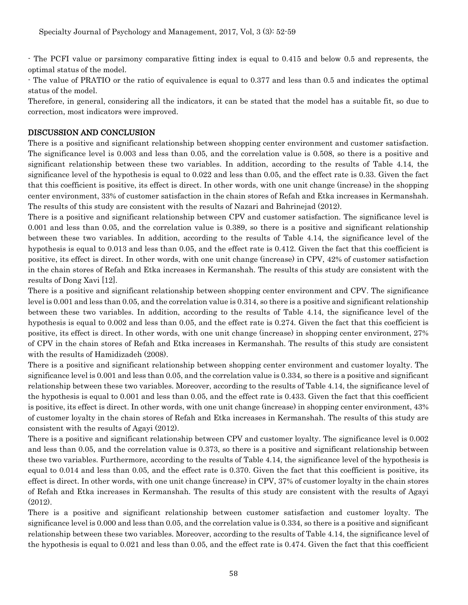- The PCFI value or parsimony comparative fitting index is equal to 0.415 and below 0.5 and represents, the optimal status of the model.

- The value of PRATIO or the ratio of equivalence is equal to 0.377 and less than 0.5 and indicates the optimal status of the model.

Therefore, in general, considering all the indicators, it can be stated that the model has a suitable fit, so due to correction, most indicators were improved.

## DISCUSSION AND CONCLUSION

There is a positive and significant relationship between shopping center environment and customer satisfaction. The significance level is 0.003 and less than 0.05, and the correlation value is 0.508, so there is a positive and significant relationship between these two variables. In addition, according to the results of Table 4.14, the significance level of the hypothesis is equal to 0.022 and less than 0.05, and the effect rate is 0.33. Given the fact that this coefficient is positive, its effect is direct. In other words, with one unit change (increase) in the shopping center environment, 33% of customer satisfaction in the chain stores of Refah and Etka increases in Kermanshah. The results of this study are consistent with the results of Nazari and Bahrinejad (2012).

There is a positive and significant relationship between CPV and customer satisfaction. The significance level is 0.001 and less than 0.05, and the correlation value is 0.389, so there is a positive and significant relationship between these two variables. In addition, according to the results of Table 4.14, the significance level of the hypothesis is equal to 0.013 and less than 0.05, and the effect rate is 0.412. Given the fact that this coefficient is positive, its effect is direct. In other words, with one unit change (increase) in CPV, 42% of customer satisfaction in the chain stores of Refah and Etka increases in Kermanshah. The results of this study are consistent with the results of Dong Xavi [12].

There is a positive and significant relationship between shopping center environment and CPV. The significance level is 0.001 and less than 0.05, and the correlation value is 0.314, so there is a positive and significant relationship between these two variables. In addition, according to the results of Table 4.14, the significance level of the hypothesis is equal to 0.002 and less than 0.05, and the effect rate is 0.274. Given the fact that this coefficient is positive, its effect is direct. In other words, with one unit change (increase) in shopping center environment, 27% of CPV in the chain stores of Refah and Etka increases in Kermanshah. The results of this study are consistent with the results of Hamidizadeh (2008).

There is a positive and significant relationship between shopping center environment and customer loyalty. The significance level is 0.001 and less than 0.05, and the correlation value is 0.334, so there is a positive and significant relationship between these two variables. Moreover, according to the results of Table 4.14, the significance level of the hypothesis is equal to 0.001 and less than 0.05, and the effect rate is 0.433. Given the fact that this coefficient is positive, its effect is direct. In other words, with one unit change (increase) in shopping center environment, 43% of customer loyalty in the chain stores of Refah and Etka increases in Kermanshah. The results of this study are consistent with the results of Agayi (2012).

There is a positive and significant relationship between CPV and customer loyalty. The significance level is 0.002 and less than 0.05, and the correlation value is 0.373, so there is a positive and significant relationship between these two variables. Furthermore, according to the results of Table 4.14, the significance level of the hypothesis is equal to 0.014 and less than 0.05, and the effect rate is 0.370. Given the fact that this coefficient is positive, its effect is direct. In other words, with one unit change (increase) in CPV, 37% of customer loyalty in the chain stores of Refah and Etka increases in Kermanshah. The results of this study are consistent with the results of Agayi (2012).

There is a positive and significant relationship between customer satisfaction and customer loyalty. The significance level is 0.000 and less than 0.05, and the correlation value is 0.334, so there is a positive and significant relationship between these two variables. Moreover, according to the results of Table 4.14, the significance level of the hypothesis is equal to 0.021 and less than 0.05, and the effect rate is 0.474. Given the fact that this coefficient